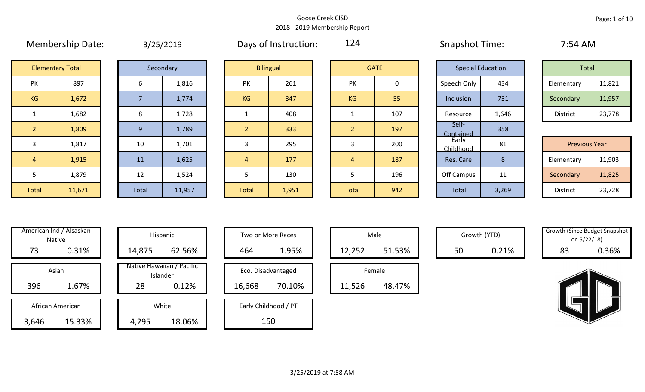|                |                         |       | $J / L J / L U + J$ |                |                  |                |             | $1.14$ $1.10$ $1.111$    |                |
|----------------|-------------------------|-------|---------------------|----------------|------------------|----------------|-------------|--------------------------|----------------|
|                | <b>Elementary Total</b> |       | Secondary           |                | <b>Bilingual</b> |                | <b>GATE</b> | <b>Special Education</b> |                |
| PK             | 897                     | 6     | 1,816               | PK             | 261              | PK             | $\mathbf 0$ | Speech Only              | 43             |
| KG             | 1,672                   |       | 1,774               | <b>KG</b>      | 347              | <b>KG</b>      | 55          | Inclusion                | 73             |
| $\mathbf{1}$   | 1,682                   | 8     | 1,728               |                | 408              |                | 107         | Resource                 | 1,6            |
| $\overline{2}$ | 1,809                   | 9     | 1,789               | $\overline{2}$ | 333              | $\overline{2}$ | 197         | Self-<br>Contained       | 35             |
| 3              | 1,817                   | 10    | 1,701               | 3              | 295              | 3              | 200         | Early<br>Childhood       | 8 <sup>°</sup> |
| $\overline{4}$ | 1,915                   | 11    | 1,625               | $\overline{4}$ | 177              | $\overline{4}$ | 187         | Res. Care                | 8              |
| 5              | 1,879                   | 12    | 1,524               | 5              | 130              | 5              | 196         | Off Campus               | 1              |
| Total          | 11.671                  | Total | 11 057              | Total          | 1051             | Total          | 012         | Total                    | 2 <sub>2</sub> |

| 3/25/2019 |
|-----------|
|-----------|

Membership Date: 3/25/2019 Snapshot Time: 7:54 AM Days of Instruction:

124

Contained 358

|    | <b>Elementary Total</b> |  | Secondary | <b>Bilingual</b> |     |           | <b>GATE</b> | <b>Special Education</b> |       |            | Total  |
|----|-------------------------|--|-----------|------------------|-----|-----------|-------------|--------------------------|-------|------------|--------|
| PK | 897                     |  | 1,816     | PK               | 261 | PK        | 0           | Speech Only              | 434   | Elementary | 11,821 |
| KG | 1,672                   |  | 1,774     | <b>KG</b>        | 347 | <b>KG</b> | 55          | Inclusion                | 731   | Secondary  | 11,957 |
|    | 1,682                   |  | 1,728     |                  | 408 |           | 107         | Resource                 | 1,646 | District   | 23,778 |

|              |        |           |        |              |       |       |     | ___________        |       |                      |        |
|--------------|--------|-----------|--------|--------------|-------|-------|-----|--------------------|-------|----------------------|--------|
| 3            | 1,817  | 10        | 1,701  |              | 295   |       | 200 | Early<br>Childhood | 81    | <b>Previous Year</b> |        |
| 4            | 1,915  | <b>11</b> | 1,625  |              | 177   |       | 187 | Res. Care          |       | Elementary           | 11,903 |
|              | 1,879  | 12<br>∸∸  | 1,524  |              | 130   |       | 196 | Off Campus         | . .   | Secondary            | 11,825 |
| <b>Total</b> | 11,671 | Total     | 11,957 | <b>Total</b> | 1,951 | Total | 942 | Total              | 3,269 | District             | 23,728 |

| Hispani                   | American Ind / Alsaskan<br><b>Native</b> |       |
|---------------------------|------------------------------------------|-------|
| 14,875                    | 0.31%                                    | 73    |
| Native Hawaiia<br>Islande | Asian                                    |       |
| 28                        | 1.67%                                    | 396   |
| White                     | African American                         |       |
|                           | 15.33%                                   | 3,646 |

|       | American Ind / Alsaskan<br>Native |        | Hispanic                              |        | Two or More Races    |        | Male   |    | Growth (YTD) | <b>Growth (Since Budget Snaps)</b><br>on 5/22/18) |       |
|-------|-----------------------------------|--------|---------------------------------------|--------|----------------------|--------|--------|----|--------------|---------------------------------------------------|-------|
| 73    | 0.31%                             | 14,875 | 62.56%                                | 464    | 1.95%                | 12,252 | 51.53% | 50 | 0.21%        | 83                                                | 0.36% |
|       | Asian                             |        | Native Hawaiian / Pacific<br>Islander |        | Eco. Disadvantaged   |        | Female |    |              |                                                   |       |
| 396   | 1.67%                             | 28     | 0.12%                                 | 16,668 | 70.10%               | 11,526 | 48.47% |    |              |                                                   |       |
|       | African American                  |        | White                                 |        | Early Childhood / PT |        |        |    |              |                                                   |       |
| 3,646 | 15.33%                            | 4,295  | 18.06%                                |        | 150                  |        |        |    |              |                                                   |       |

| Hispanic                                | Two or More Races                      | Male                  |
|-----------------------------------------|----------------------------------------|-----------------------|
| 62.56%                                  | 1.95%<br>464                           | 12,252                |
| lawaiian / Pacific<br>Islander<br>0.12% | Eco. Disadvantaged<br>70.10%<br>16,668 | Female<br>11,526<br>ı |
| White<br>18.06%                         | Early Childhood / PT<br>150            |                       |

|        | Male   |  |
|--------|--------|--|
| 12,252 | 51.53% |  |
|        | Female |  |
| 11,526 | 48.47% |  |

|    | Growth (Since Budget Snapshot |
|----|-------------------------------|
|    | on 5/22/18)                   |
| 83 | 0.36%                         |

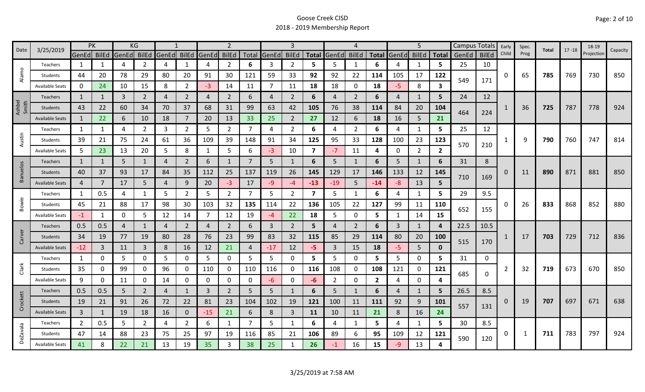|                 | 3/25/2019              | PK             |              |             | KG             |                |                |       | $\overline{2}$ |                       |                | 3              |                         |                | 4              |                |                | 5              |              | Campus Totals |              | Early | Spec. | Total | $17 - 18$ | 18-19      | Capacity |
|-----------------|------------------------|----------------|--------------|-------------|----------------|----------------|----------------|-------|----------------|-----------------------|----------------|----------------|-------------------------|----------------|----------------|----------------|----------------|----------------|--------------|---------------|--------------|-------|-------|-------|-----------|------------|----------|
| Date            |                        | GenEd BilEd    |              | GenEd       | <b>BilEd</b>   | GenEd          | <b>BilEd</b>   | GenEd | <b>BilEd</b>   |                       | Total GenEd    | <b>BilEd</b>   | <b>Total</b>            | GenEd          | <b>BilEd</b>   | <b>Total</b>   | GenEd          | <b>BilEd</b>   | <b>Total</b> | GenEd         | <b>BilEd</b> | Child | Prog  |       |           | Projection |          |
|                 | Teachers               | 1              | 1            | 4           | 2              | $\overline{4}$ | 1              | 4     | $\overline{2}$ | 6                     | 3              | $\overline{2}$ | 5                       | 5              | -1             | 6              | 4              | 1              | 5            | 25            | 10           |       |       |       |           |            |          |
| Alamo           | Students               | 44             | 20           | 78          | 29             | 80             | 20             | 91    | 30             | 121                   | 59             | 33             | 92                      | 92             | 22             | 114            | 105            | 17             | 122          | 549           | 171          | O     | 65    | 785   | 769       | 730        | 850      |
|                 | <b>Available Seats</b> | 0              | 24           | 10          | 15             | 8              | $\overline{2}$ | $-3$  | 14             | 11                    | $\overline{7}$ | 11             | 18                      | 18             | 0              | 18             | $-5$           | 8              | 3            |               |              |       |       |       |           |            |          |
|                 | <b>Teachers</b>        | 1              | 1            | 3           | $\overline{2}$ | $\overline{4}$ | $\overline{2}$ | 4     | $\overline{2}$ | 6                     | 4              | $\overline{2}$ | 6                       | 4              | $\overline{2}$ | 6              | 4              | $\mathbf{1}$   | 5.           | 24            | 12           |       |       |       |           |            |          |
| Ashbel<br>Smith | Students               | 43             | 22           | 60          | 34             | 70             | 37             | 68    | 31             | 99                    | 63             | 42             | 105                     | 76             | 38             | 114            | 84             | 20             | 104          |               |              |       | 36    | 725   | 787       | 778        | 924      |
|                 | <b>Available Seats</b> | $\mathbf{1}$   | 22           | 6           | 10             | 18             | $\overline{7}$ | 20    | 13             | 33                    | 25             | $\overline{2}$ | 27                      | 12             | 6              | 18             | 16             | 5              | 21           | 464           | 224          |       |       |       |           |            |          |
|                 | Teachers               | 1              | 1            | 4           | $\overline{2}$ | 3              | $\overline{2}$ | 5     | $\overline{2}$ | 7                     | 4              | $\mathbf{2}$   | 6                       | 4              | $\overline{2}$ | 6              | 4              | $\mathbf{1}$   | 5.           | 25            | 12           |       |       |       |           |            |          |
| Austin          | Students               | 39             | 21           | 75          | 24             | 61             | 36             | 109   | 39             | 148                   | 91             | 34             | 125                     | 95             | 33             | 128            | 100            | 23             | 123          | 570           |              |       | 9     | 790   | 760       | 747        | 814      |
|                 | <b>Available Seats</b> | 5              | 23           | 13          | 20             | 5              | 8              | 1     | 5              | 6                     | $-3$           | 10             | 7                       | $-7$           | 11             | 4              | 0              | $\overline{2}$ | $\mathbf{2}$ |               | 210          |       |       |       |           |            |          |
|                 | <b>Teachers</b>        | $\mathbf{1}$   | $\mathbf{1}$ | 5           | $\mathbf{1}$   | 4              | $\overline{2}$ | 6     | $\mathbf{1}$   | 7                     | 5 <sup>1</sup> |                | 6                       | 5              | $\mathbf{1}$   | 6              | 5              | $\mathbf{1}$   | 6            | 31            | 8            |       |       |       |           |            |          |
| <b>Banuelos</b> | Students               | 40             | 37           | 93          | 17             | 84             | 35             | 112   | 25             | 137                   | 119            | 26             | 145                     | 129            | 17             | 146            | 133            | 12             | 145          |               |              | 0     | 11    | 890   | 871       | 881        | 850      |
|                 | <b>Available Seats</b> | $\overline{4}$ |              | 17          | 5              | $\overline{4}$ | 9              | 20    | $-3$           | 17                    | $-9$           | -4             | $-13$                   | $-19$          | 5              | $-14$          | -8             | 13             | 5            | 710           | 169          |       |       |       |           |            |          |
|                 | Teachers               | 1              | 0.5          | 4           | 1              | 5              | $\overline{2}$ | 5     | $\overline{2}$ | 7                     | 5              | $\overline{2}$ | $\overline{\mathbf{z}}$ | 5              | $\mathbf 1$    | 6              | 4              | $\mathbf{1}$   | 5.           | 29            | 9.5          |       |       |       |           |            |          |
| Bowie           | Students               | 45             | 21           | 88          | 17             | 98             | 30             | 103   | 32             | 135                   | 114            | 22             | 136                     | 105            | 22             | 127            | 99             | 11             | 110          |               |              | O     | 26    | 833   | 868       | 852        | 880      |
|                 | <b>Available Seats</b> | $-1$           | 1            | $\mathbf 0$ | 5              | 12             | 14             | 7     | 12             | 19                    | -4             | 22             | 18                      | 5              | 0              | 5              | 1              | 14             | 15           | 652           | 155          |       |       |       |           |            |          |
|                 | Teachers               | 0.5            | 0.5          | 4           | $\mathbf{1}$   | $\overline{4}$ | $\overline{2}$ | 4     | $\overline{2}$ | 6                     | 3              | $\overline{2}$ | 5                       | 4              | 2              | 6              | 3              | 1              | 4            | 22.5          | 10.5         |       |       |       |           |            |          |
| Carver          | Students               | 34             | 19           | 77          | 19             | 80             | 28             | 76    | 23             | 99                    | 83             | 32             | 115                     | 85             | 29             | 114            | 80             | 20             | 100          |               |              |       | 17    | 703   | 729       | 712        | 836      |
|                 | <b>Available Seats</b> | $-12$          | 3            | 11          | $\mathbf{3}$   | 8              | 16             | 12    | 21             | $\boldsymbol{\Delta}$ | $-17$          | 12             | -5                      | $\overline{3}$ | 15             | 18             | $-5$           | 5 <sup>5</sup> | $\mathbf{0}$ | 515           | 170          |       |       |       |           |            |          |
|                 | Teachers               | 1              | 0            | 5           | 0              | 5              | 0              | 5     | 0              | 5                     | 5              | 0              | 5                       | 5              | 0              | 5              | 5              | $\mathbf 0$    | 5.           | 31            | 0            |       |       |       |           |            |          |
| Clark           | Students               | 35             | 0            | 99          | 0              | 96             | 0              | 110   | 0              | 110                   | 116            | 0              | 116                     | 108            | 0              | 108            | 121            | 0              | 121          |               |              | 2     | 32    | 719   | 673       | 670        | 850      |
|                 | <b>Available Seats</b> | 9              | 0            | 11          | 0              | 14             | 0              | 0     | 0              | 0                     | -6             | 0              | -6                      | $\overline{2}$ | 0              | $\overline{2}$ | 4              | $\mathbf 0$    | 4            | 685           | 0            |       |       |       |           |            |          |
|                 | <b>Teachers</b>        | 0.5            | 0.5          | 5           | 2              | 4              | $\mathbf{1}$   | 3     | $\overline{2}$ | 5                     | 5              | 1              | 6                       | 5              | 1              | 6              | $\overline{4}$ | 1              | 5            | 26.5          | 8.5          |       |       |       |           |            |          |
| Crockett        | <b>Students</b>        | 19             | 21           | 91          | 26             | 72             | 22             | 81    | 23             | 104                   | 102            | 19             | 121                     | 100            | 11             | 111            | 92             | 9              | 101          | 557           |              | 0     | 19    | 707   | 697       | 671        | 638      |
|                 | <b>Available Seats</b> | $\overline{3}$ | $\mathbf{1}$ | 19          | 18             | 16             | $\mathbf 0$    | $-15$ | 21             | 6                     | 8              | $\overline{3}$ | 11                      | 10             | 11             | 21             | 8              | 16             | 24           |               | 131          |       |       |       |           |            |          |
|                 | Teachers               | $\overline{2}$ | 0.5          | 5           | $\overline{2}$ | 4              | $\overline{2}$ | 6     | 1              | $\overline{7}$        | 5              | 1              | 6                       | 4              | -1             | 5              | 4              | 1              | 5            | 30            | 8.5          |       |       |       |           |            |          |
| <b>DeZavala</b> | Students               | 47             | 14           | 88          | 23             | 75             | 25             | 97    | 19             | 116                   | 85             | 21             | 106                     | 89             | 6              | 95             | 109            | 12             | 121          | 590           |              | 0     | 1     | 711   | 783       | 797        | 924      |
|                 | <b>Available Seats</b> | 41             | 8            | 22          | 21             | 13             | 19             | 35    | 3              | 38                    | 25             |                | 26                      | -1.            | 16             | 15             | -9             | 13             |              |               | 120          |       |       |       |           |            |          |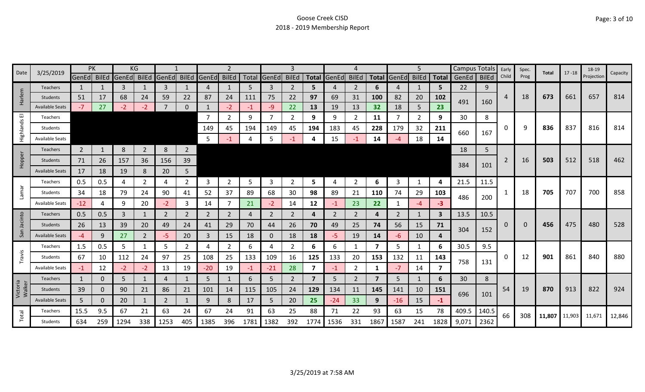| Date                  | 3/25/2019              |                | PK           |       | KG             |                |                |              | 2              |      |                | 3              |                         |                |                |                |       | 5              |              | <b>Campus Totals</b> |              | Early | Spec. | Total         | $17 - 18$ | 18-19      | Capacity |
|-----------------------|------------------------|----------------|--------------|-------|----------------|----------------|----------------|--------------|----------------|------|----------------|----------------|-------------------------|----------------|----------------|----------------|-------|----------------|--------------|----------------------|--------------|-------|-------|---------------|-----------|------------|----------|
|                       |                        | GenEd BilEd    |              | GenEd | BilEd          | GenEd BilEd    |                | <b>GenEd</b> | <b>BilEd</b>   |      | Total GenEd    | <b>BilEd</b>   | <b>Total</b>            | GenEd          | <b>BilEd</b>   | <b>Total</b>   | GenEd | <b>BilEd</b>   | <b>Total</b> | GenEd                | <b>BilEd</b> | Child | Prog  |               |           | Projection |          |
|                       | <b>Teachers</b>        | $\mathbf{1}$   |              | 3     |                | 3              |                | 4            |                | 5    | 3              | 2              | 5.                      |                | $\overline{2}$ | 6              | 4     | 1              | 5            | 22                   | 9            |       |       |               |           |            |          |
| Harlem                | <b>Students</b>        | 51             | 17           | 68    | 24             | 59             | 22             | 87           | 24             | 111  | 75             | 22             | 97                      | 69             | 31             | 100            | 82    | 20             | 102          | 491                  | 160          | 4     | 18    | 673           | 661       | 657        | 814      |
|                       | <b>Available Seats</b> | $-7$           | 27           | $-2$  | $-2$           | 7              | $\Omega$       |              | $-2$           | $-1$ | -9             | 22             | 13                      | 19             | 13             | 32             | 18    | 5              | 23           |                      |              |       |       |               |           |            |          |
| $\overline{\text{m}}$ | Teachers               |                |              |       |                |                |                | 7            | $\mathbf{2}$   | 9    | $\overline{7}$ | 2              | 9                       | 9              | 2              | 11             | 7     | $\overline{2}$ | 9            | 30                   | 8            |       |       |               |           |            |          |
| Highlands             | Students               |                |              |       |                |                |                | 149          | 45             | 194  | 149            | 45             | 194                     | 183            | 45             | 228            | 179   | 32             | 211          | 660                  | 167          | 0     | q     | 836           | 837       | 816        | 814      |
|                       | <b>Available Seats</b> |                |              |       |                |                |                | 5            | -1             |      | 5              |                | 4                       | 15             | -1             | 14             |       | 18             | 14           |                      |              |       |       |               |           |            |          |
|                       | Teachers               | $\overline{2}$ | $\mathbf{1}$ | 8     | $\overline{2}$ | 8              | $\overline{2}$ |              |                |      |                |                |                         |                |                |                |       |                |              | 18                   | 5            |       |       |               |           |            |          |
| Hopper                | <b>Students</b>        | 71             | 26           | 157   | 36             | 156            | 39             |              |                |      |                |                |                         |                |                |                |       |                |              |                      |              | 2     | 16    | 503           | 512       | 518        | 462      |
|                       | <b>Available Seats</b> | 17             | 18           | 19    | 8              | 20             | 5              |              |                |      |                |                |                         |                |                |                |       |                |              | 384                  | 101          |       |       |               |           |            |          |
|                       | Teachers               | 0.5            | 0.5          | 4     | $\overline{2}$ | 4              | $\overline{2}$ | 3            | $\overline{2}$ | 5    | $\overline{3}$ | 2              | 5                       |                | $\overline{2}$ | 6              | 3     | $\mathbf{1}$   | 4            | 21.5                 | 11.5         |       |       |               |           |            |          |
| Lamar                 | Students               | 34             | 18           | 79    | 24             | 90             | 41             | 52           | 37             | 89   | 68             | 30             | 98                      | 89             | 21             | 110            | 74    | 29             | 103          |                      |              | -1    | 18    | 705           | 707       | 700        | 858      |
|                       | <b>Available Seats</b> | $-12$          | 4            | 9     | 20             | $-2$           | 3              | 14           | $\overline{7}$ | 21   | $-2$           | 14             | 12                      | -1             | 23             | 22             |       | $-4$           | $-3$         | 486                  | 200          |       |       |               |           |            |          |
|                       | <b>Teachers</b>        | 0.5            | 0.5          | 3     | 1              | 2              | $\overline{2}$ | 2            | 2              |      | 2              | 2              | 4                       | $\overline{2}$ | 2              | 4              | 2     | $\mathbf{1}$   | 3            | 13.5                 | 10.5         |       |       |               |           |            |          |
| Jacinto               | <b>Students</b>        | 26             | 13           | 39    | 20             | 49             | 24             | 41           | 29             | 70   | 44             | 26             | 70                      | 49             | 25             | 74             | 56    | 15             | 71           |                      |              | 0     | 0     | 456           | 475       | 480        | 528      |
| San                   | <b>Available Seats</b> | -4             | 9            | 27    | $\overline{2}$ | -5             | 20             | 3            | 15             | 18   | $\mathbf{0}$   | 18             | 18                      | -5.            | 19             | 14             | -6    | 10             | 4            | 304                  | 152          |       |       |               |           |            |          |
|                       | Teachers               | 1.5            | 0.5          | 5     |                | 5              | 2              | 4            | $\overline{2}$ | 6    | 4              | 2              | 6                       | 6              | -1             | 7              | 5     | 1              | 6            | 30.5                 | 9.5          |       |       |               |           |            |          |
| Travis                | Students               | 67             | 10           | 112   | 24             | 97             | 25             | 108          | 25             | 133  | 109            | 16             | 125                     | 133            | 20             | 153            | 132   | 11             | 143          |                      |              | 0     | 12    | 901           | 861       | 840        | 880      |
|                       | <b>Available Seats</b> | $-1$           | 12           | $-2$  | $-2$           | 13             | 19             | $-20$        | 19             | $-1$ | $-21$          | 28             | 7                       | $-1$           | $\overline{2}$ | 1              | $-7$  | 14             | 7            | 758                  | 131          |       |       |               |           |            |          |
|                       | Teachers               | $\mathbf{1}$   | 0            | 5     |                | 4              | 1              | 5            |                | 6    | 5              | $\overline{2}$ | $\overline{\mathbf{z}}$ | 5              | 2              | $\overline{7}$ | 5     | 1              | 6            | 30                   | 8            |       |       |               |           |            |          |
| Victoria<br>Walker    | Students               | 39             | 0            | 90    | 21             | 86             | 21             | 101          | 14             | 115  | 105            | 24             | 129                     | 134            | 11             | 145            | 141   | 10             | 151          |                      |              | 54    | 19    | 870           | 913       | 822        | 924      |
|                       | <b>Available Seats</b> | 5              | 0            | 20    | $\mathbf{1}$   | $\overline{2}$ | $\mathbf{1}$   | 9            | 8              | 17   | 5              | 20             | 25                      | $-24$          | 33             | 9              | $-16$ | 15             | $-1$         | 696                  | 101          |       |       |               |           |            |          |
|                       | Teachers               | 15.5           | 9.5          | 67    | 21             | 63             | 24             | 67           | 24             | 91   | 63             | 25             | 88                      | 71             | 22             | 93             | 63    | 15             | 78           | 409.5                | 140.5        |       |       |               |           |            |          |
| Total                 | <b>Students</b>        | 634            | 259          | 1294  | 338            | 1253           | 405            | 1385         | 396            | 178  | 1382           | 392            | 1774                    | 1536           | 331            | 1867           | 1587  | 241            | 1828         | 9,071                | 2362         | 66    | 308   | 11,807 11,903 |           | 11,671     | 12,846   |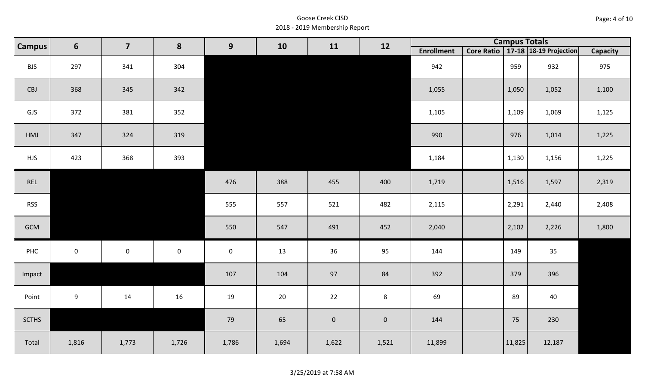| Page: 4 of 10 |  |  |  |
|---------------|--|--|--|
|---------------|--|--|--|

| <b>Campus</b> | 6           | $\overline{\mathbf{7}}$ | 8           | 9           | 10     | 11          | 12        |                   | <b>Campus Totals</b> |                                       |                 |
|---------------|-------------|-------------------------|-------------|-------------|--------|-------------|-----------|-------------------|----------------------|---------------------------------------|-----------------|
|               |             |                         |             |             |        |             |           | <b>Enrollment</b> |                      | Core Ratio   17-18   18-19 Projection | <b>Capacity</b> |
| <b>BJS</b>    | 297         | 341                     | 304         |             |        |             |           | 942               | 959                  | 932                                   | 975             |
| CBJ           | 368         | 345                     | 342         |             |        |             |           | 1,055             | 1,050                | 1,052                                 | 1,100           |
| GJS           | 372         | 381                     | 352         |             |        |             |           | 1,105             | 1,109                | 1,069                                 | 1,125           |
| HMJ           | 347         | 324                     | 319         |             |        |             |           | 990               | 976                  | 1,014                                 | 1,225           |
| <b>HJS</b>    | 423         | 368                     | 393         |             |        |             |           | 1,184             | 1,130                | 1,156                                 | 1,225           |
| REL           |             |                         |             | 476         | 388    | 455         | 400       | 1,719             | 1,516                | 1,597                                 | 2,319           |
| <b>RSS</b>    |             |                         |             | 555         | 557    | 521         | 482       | 2,115             | 2,291                | 2,440                                 | 2,408           |
| GCM           |             |                         |             | 550         | 547    | 491         | 452       | 2,040             | 2,102                | 2,226                                 | 1,800           |
| PHC           | $\mathbf 0$ | $\mathbf 0$             | $\mathbf 0$ | $\mathbf 0$ | 13     | 36          | 95        | 144               | 149                  | 35                                    |                 |
| Impact        |             |                         |             | 107         | 104    | 97          | 84        | 392               | 379                  | 396                                   |                 |
| Point         | 9           | 14                      | 16          | 19          | $20\,$ | 22          | 8         | 69                | 89                   | 40                                    |                 |
| <b>SCTHS</b>  |             |                         |             | 79          | 65     | $\mathbf 0$ | $\pmb{0}$ | 144               | 75                   | 230                                   |                 |
| Total         | 1,816       | 1,773                   | 1,726       | 1,786       | 1,694  | 1,622       | 1,521     | 11,899            | 11,825               | 12,187                                |                 |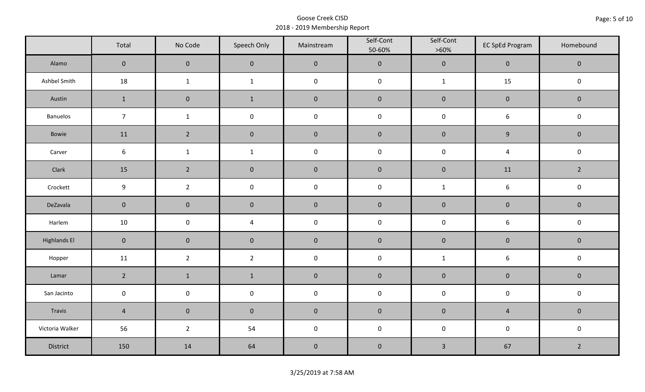|                     | Total           | No Code             | Speech Only             | Mainstream | Self-Cont<br>50-60% | Self-Cont<br>$>60\%$ | <b>EC SpEd Program</b> | Homebound      |
|---------------------|-----------------|---------------------|-------------------------|------------|---------------------|----------------------|------------------------|----------------|
| Alamo               | $\overline{0}$  | $\mathbf 0$         | $\mathbf 0$             | $\pmb{0}$  | $\pmb{0}$           | $\pmb{0}$            | $\mathsf{O}\xspace$    | $\mathbf 0$    |
| Ashbel Smith        | 18              | $\mathbf{1}$        | $\mathbf{1}$            | $\pmb{0}$  | $\pmb{0}$           | $\mathbf{1}$         | 15                     | $\mathbf 0$    |
| Austin              | $\mathbf{1}$    | $\mathbf 0$         | $\mathbf{1}$            | $\pmb{0}$  | $\pmb{0}$           | $\pmb{0}$            | $\pmb{0}$              | $\mathbf 0$    |
| Banuelos            | $\overline{7}$  | $\mathbf{1}$        | $\pmb{0}$               | $\pmb{0}$  | $\mathsf 0$         | $\pmb{0}$            | $\boldsymbol{6}$       | $\pmb{0}$      |
| Bowie               | 11              | $\overline{2}$      | $\mathbf 0$             | $\pmb{0}$  | $\pmb{0}$           | $\pmb{0}$            | $\boldsymbol{9}$       | $\mathbf 0$    |
| Carver              | $6\phantom{.}6$ | $\mathbf 1$         | $\mathbf 1$             | $\pmb{0}$  | $\pmb{0}$           | $\pmb{0}$            | $\overline{4}$         | $\pmb{0}$      |
| Clark               | 15              | $\overline{2}$      | $\pmb{0}$               | $\pmb{0}$  | $\pmb{0}$           | $\pmb{0}$            | 11                     | $\overline{2}$ |
| Crockett            | 9               | $\overline{2}$      | $\pmb{0}$               | $\pmb{0}$  | $\pmb{0}$           | $\mathbf{1}$         | $\boldsymbol{6}$       | $\pmb{0}$      |
| DeZavala            | $\mathbf 0$     | $\mathsf{O}\xspace$ | $\mathbf 0$             | $\pmb{0}$  | $\pmb{0}$           | $\pmb{0}$            | $\pmb{0}$              | $\mathbf 0$    |
| Harlem              | 10              | $\mathsf 0$         | $\overline{\mathbf{4}}$ | $\pmb{0}$  | $\pmb{0}$           | $\pmb{0}$            | $\boldsymbol{6}$       | $\pmb{0}$      |
| <b>Highlands El</b> | $\mathbf 0$     | $\mathbf 0$         | $\mathbf 0$             | $\pmb{0}$  | $\pmb{0}$           | $\pmb{0}$            | $\pmb{0}$              | $\mathbf 0$    |
| Hopper              | 11              | $\overline{2}$      | $\overline{2}$          | $\pmb{0}$  | $\pmb{0}$           | $\mathbf{1}$         | $\boldsymbol{6}$       | $\pmb{0}$      |
| Lamar               | $\overline{2}$  | $\mathbf 1$         | $\mathbf 1$             | $\pmb{0}$  | $\pmb{0}$           | $\pmb{0}$            | $\pmb{0}$              | $\pmb{0}$      |
| San Jacinto         | $\mathbf 0$     | $\mathsf{O}\xspace$ | $\mathsf{O}\xspace$     | $\pmb{0}$  | $\pmb{0}$           | $\pmb{0}$            | $\pmb{0}$              | $\pmb{0}$      |
| Travis              | $\sqrt{4}$      | $\mathbf 0$         | $\mathbf 0$             | $\pmb{0}$  | $\pmb{0}$           | $\pmb{0}$            | $\sqrt{4}$             | $\mathbf 0$    |
| Victoria Walker     | 56              | $\overline{2}$      | 54                      | $\pmb{0}$  | $\mathsf 0$         | $\pmb{0}$            | $\pmb{0}$              | $\pmb{0}$      |
| District            | 150             | 14                  | 64                      | $\pmb{0}$  | $\pmb{0}$           | $\mathbf{3}$         | 67                     | $\overline{2}$ |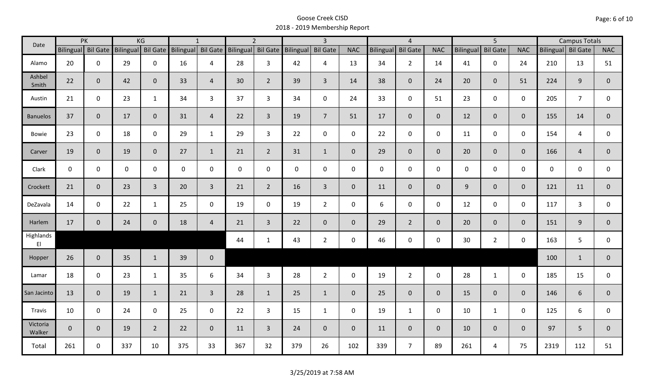| Date               |                    | PK           |              | KG             |                                       | $\mathbf{1}$   |                 | $\overline{2}$     |             | $\overline{3}$  |                |                  | $\overline{4}$  |                |                  | $\overline{5}$  |                | <b>Campus Totals</b> |                |                |
|--------------------|--------------------|--------------|--------------|----------------|---------------------------------------|----------------|-----------------|--------------------|-------------|-----------------|----------------|------------------|-----------------|----------------|------------------|-----------------|----------------|----------------------|----------------|----------------|
|                    | Bilingual Bil Gate |              |              |                | Bilingual Bil Gate Bilingual Bil Gate |                |                 | Bilingual Bil Gate | Bilingual   | <b>Bil Gate</b> | <b>NAC</b>     | <b>Bilingual</b> | <b>Bil Gate</b> | <b>NAC</b>     | <b>Bilingual</b> | <b>Bil Gate</b> | <b>NAC</b>     | Bilingual Bil Gate   |                | <b>NAC</b>     |
| Alamo              | 20                 | $\mathbf 0$  | 29           | $\mathbf 0$    | 16                                    | 4              | 28              | $\overline{3}$     | 42          | 4               | 13             | 34               | $2^{\circ}$     | 14             | 41               | $\mathbf 0$     | 24             | 210                  | 13             | 51             |
| Ashbel<br>Smith    | 22                 | $\mathbf{0}$ | 42           | $\mathbf{0}$   | 33                                    | $\overline{4}$ | 30 <sup>°</sup> | $2^{\circ}$        | 39          | $\overline{3}$  | 14             | 38               | $\overline{0}$  | 24             | 20               | $\mathbf{0}$    | 51             | 224                  | 9              | $\overline{0}$ |
| Austin             | 21                 | $\mathbf 0$  | 23           | $\mathbf{1}$   | 34                                    | $\mathbf{3}$   | 37              | $\mathbf{3}$       | 34          | $\mathbf 0$     | 24             | 33               | $\mathbf 0$     | 51             | 23               | $\mathbf 0$     | $\mathbf 0$    | 205                  | $\overline{7}$ | $\mathbf 0$    |
| <b>Banuelos</b>    | 37                 | $\mathbf{0}$ | 17           | $\mathbf{0}$   | 31                                    | $\overline{4}$ | 22              | $\overline{3}$     | 19          | $\overline{7}$  | 51             | 17               | $\overline{0}$  | $\overline{0}$ | 12               | $\overline{0}$  | $\overline{0}$ | 155                  | 14             | $\overline{0}$ |
| <b>Bowie</b>       | 23                 | $\mathbf 0$  | 18           | $\mathsf 0$    | 29                                    | $\mathbf{1}$   | 29              | $\mathbf{3}$       | 22          | $\mathbf 0$     | $\mathbf 0$    | 22               | $\mathbf 0$     | $\mathbf 0$    | 11               | $\mathbf 0$     | $\mathbf 0$    | 154                  | 4              | 0              |
| Carver             | 19                 | $\mathbf{0}$ | 19           | $\overline{0}$ | 27                                    | $\mathbf{1}$   | 21              | $2^{\circ}$        | 31          | $\mathbf{1}$    | $\overline{0}$ | 29               | $\overline{0}$  | $\overline{0}$ | 20               | $\overline{0}$  | $\overline{0}$ | 166                  | $\overline{4}$ | $\mathbf 0$    |
| Clark              | $\mathbf 0$        | $\mathbf 0$  | $\mathsf{O}$ | $\mathbf 0$    | $\mathsf{O}$                          | $\mathbf 0$    | $\mathbf{0}$    | $\mathbf 0$        | $\mathbf 0$ | $\mathbf 0$     | $\mathbf 0$    | $\mathbf{0}$     | $\mathbf 0$     | $\mathbf 0$    | $\mathbf 0$      | $\mathbf 0$     | $\mathbf 0$    | $\mathbf 0$          | $\mathbf 0$    | $\mathsf{O}$   |
| Crockett           | 21                 | $\mathbf{0}$ | 23           | $\overline{3}$ | 20                                    | $\overline{3}$ | 21              | $\overline{2}$     | 16          | $\mathbf{3}$    | $\mathbf{0}$   | 11               | $\overline{0}$  | $\overline{0}$ | 9                | $\mathbf{0}$    | $\overline{0}$ | 121                  | 11             | $\mathbf{0}$   |
| DeZavala           | 14                 | $\mathbf 0$  | 22           | $\mathbf{1}$   | 25                                    | $\mathbf 0$    | 19              | $\mathbf{0}$       | 19          | $2^{\circ}$     | $\mathbf 0$    | 6                | $\mathbf 0$     | $\mathbf 0$    | 12               | $\mathbf 0$     | $\mathbf 0$    | 117                  | 3              | 0              |
| Harlem             | 17                 | $\mathbf 0$  | 24           | $\overline{0}$ | 18                                    | $\overline{4}$ | 21              | $\overline{3}$     | 22          | $\mathbf 0$     | $\mathbf{0}$   | 29               | $2^{\circ}$     | $\overline{0}$ | 20               | $\mathbf{0}$    | $\overline{0}$ | 151                  | 9              | $\overline{0}$ |
| Highlands<br>EI    |                    |              |              |                |                                       |                | 44              | $\mathbf{1}$       | 43          | $2^{\circ}$     | $\mathsf 0$    | 46               | $\mathbf 0$     | $\mathbf 0$    | 30               | $2^{\circ}$     | $\mathbf 0$    | 163                  | 5              | $\mathbf{0}$   |
| Hopper             | 26                 | $\mathbf{0}$ | 35           | $\mathbf{1}$   | 39                                    | $\mathbf 0$    |                 |                    |             |                 |                |                  |                 |                |                  |                 |                | 100                  | $\mathbf{1}$   | $\overline{0}$ |
| Lamar              | 18                 | $\mathbf 0$  | 23           | $\mathbf{1}$   | 35                                    | 6              | 34              | $\mathbf{3}$       | 28          | $2^{\circ}$     | $\mathbf 0$    | 19               | $\overline{2}$  | $\mathbf 0$    | 28               | $\mathbf{1}$    | $\mathbf 0$    | 185                  | 15             | 0              |
| San Jacinto        | 13                 | $\mathbf{0}$ | 19           | $\mathbf{1}$   | 21                                    | $\overline{3}$ | 28              | $\mathbf{1}$       | 25          | $\mathbf{1}$    | $\overline{0}$ | 25               | $\overline{0}$  | $\overline{0}$ | 15               | $\mathbf{0}$    | $\overline{0}$ | 146                  | 6              | $\mathbf{0}$   |
| Travis             | 10                 | $\mathbf 0$  | 24           | $\mathbf 0$    | 25                                    | $\mathbf 0$    | 22              | $\overline{3}$     | 15          | $\mathbf{1}$    | $\mathbf 0$    | 19               | $\mathbf{1}$    | $\mathbf 0$    | 10               | $\mathbf{1}$    | $\mathbf 0$    | 125                  | 6              | 0              |
| Victoria<br>Walker | $\mathbf{0}$       | $\mathbf{0}$ | 19           | $2^{\circ}$    | 22                                    | $\mathbf{0}$   | 11              | $\overline{3}$     | 24          | $\overline{0}$  | $\mathbf{0}$   | 11               | $\overline{0}$  | $\overline{0}$ | 10               | $\overline{0}$  | $\overline{0}$ | 97                   | 5              | $\mathbf{0}$   |
| Total              | 261                | $\mathbf 0$  | 337          | 10             | 375                                   | 33             | 367             | 32                 | 379         | 26              | 102            | 339              | $\overline{7}$  | 89             | 261              | 4               | 75             | 2319                 | 112            | 51             |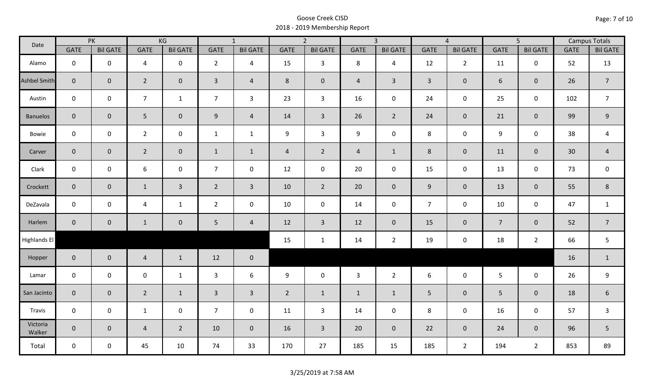| Date               | PK             |                 | KG             |                 | $\overline{1}$ |                 |                | $\overline{2}$  |                | $\overline{3}$  | $\overline{4}$ |                 | $\overline{5}$  |                 | <b>Campus Totals</b> |                  |
|--------------------|----------------|-----------------|----------------|-----------------|----------------|-----------------|----------------|-----------------|----------------|-----------------|----------------|-----------------|-----------------|-----------------|----------------------|------------------|
|                    | <b>GATE</b>    | <b>Bil GATE</b> | <b>GATE</b>    | <b>Bil GATE</b> | GATE           | <b>Bil GATE</b> | <b>GATE</b>    | <b>Bil GATE</b> | <b>GATE</b>    | <b>Bil GATE</b> | <b>GATE</b>    | <b>Bil GATE</b> | <b>GATE</b>     | <b>Bil GATE</b> | <b>GATE</b>          | <b>Bil GATE</b>  |
| Alamo              | $\mathbf 0$    | $\mathbf 0$     | 4              | $\mathbf 0$     | $\overline{2}$ | $\overline{4}$  | 15             | $\mathbf{3}$    | 8              | $\overline{4}$  | 12             | $\overline{2}$  | 11              | $\mathsf{O}$    | 52                   | 13               |
| Ashbel Smith       | $\mathbf{0}$   | $\mathbf 0$     | $\overline{2}$ | $\overline{0}$  | $\overline{3}$ | $\overline{4}$  | 8              | $\mathbf 0$     | $\overline{4}$ | $\mathbf{3}$    | $\overline{3}$ | $\overline{0}$  | 6               | $\mathbf{0}$    | 26                   | $\overline{7}$   |
| Austin             | $\mathsf{O}$   | $\mathbf 0$     | $\overline{7}$ | $\mathbf{1}$    | $\overline{7}$ | $\mathbf{3}$    | 23             | $\mathbf{3}$    | 16             | $\mathbf 0$     | 24             | 0               | 25              | $\mathsf{O}$    | 102                  | $\overline{7}$   |
| <b>Banuelos</b>    | $\overline{0}$ | $\overline{0}$  | 5              | $\overline{0}$  | 9              | $\overline{4}$  | 14             | $\overline{3}$  | 26             | $2^{\circ}$     | 24             | $\overline{0}$  | 21              | $\mathbf 0$     | 99                   | $9\,$            |
| Bowie              | $\mathbf 0$    | $\mathbf 0$     | $\overline{2}$ | $\mathsf 0$     | $\mathbf{1}$   | $\mathbf{1}$    | 9              | $\overline{3}$  | 9              | $\mathbf 0$     | 8              | 0               | 9               | $\mathbf 0$     | 38                   | 4                |
| Carver             | $\overline{0}$ | $\overline{0}$  | $\overline{2}$ | $\overline{0}$  | $\mathbf{1}$   | $\mathbf{1}$    | $\overline{4}$ | $\overline{2}$  | $\overline{4}$ | $\mathbf{1}$    | 8              | $\overline{0}$  | 11              | $\overline{0}$  | 30                   | $\sqrt{4}$       |
| Clark              | $\mathbf 0$    | $\mathbf 0$     | 6              | $\mathbf 0$     | $\overline{7}$ | $\mathbf 0$     | 12             | $\mathbf 0$     | 20             | $\mathbf 0$     | 15             | $\mathbf 0$     | 13              | $\mathbf 0$     | 73                   | $\mathbf 0$      |
| Crockett           | $\overline{0}$ | $\mathbf 0$     | $\mathbf{1}$   | $\mathbf{3}$    | $2^{\circ}$    | $\overline{3}$  | 10             | $\overline{2}$  | 20             | $\mathbf 0$     | 9              | $\overline{0}$  | 13              | $\mathbf 0$     | 55                   | $\,8\,$          |
| DeZavala           | $\mathbf 0$    | $\mathbf 0$     | 4              | $\mathbf{1}$    | $\overline{2}$ | $\mathbf 0$     | 10             | $\mathbf 0$     | 14             | $\mathbf 0$     | $\overline{7}$ | 0               | 10              | $\mathbf 0$     | 47                   | $\mathbf{1}$     |
| Harlem             | $\overline{0}$ | $\overline{0}$  | $\mathbf{1}$   | $\mathbf 0$     | 5 <sub>5</sub> | $\overline{4}$  | 12             | $\mathbf{3}$    | 12             | $\overline{0}$  | 15             | $\overline{0}$  | $\overline{7}$  | $\mathbf 0$     | 52                   | $\overline{7}$   |
| Highlands El       |                |                 |                |                 |                |                 | 15             | $\mathbf{1}$    | 14             | $\overline{2}$  | 19             | 0               | 18              | $\overline{2}$  | 66                   | 5                |
| Hopper             | $\overline{0}$ | $\overline{0}$  | $\overline{4}$ | $\mathbf{1}$    | 12             | $\overline{0}$  |                |                 |                |                 |                |                 |                 |                 | 16                   | $\mathbf{1}$     |
| Lamar              | $\mathsf{O}$   | $\mathbf 0$     | $\mathbf 0$    | $\mathbf{1}$    | $\mathbf{3}$   | 6               | 9              | $\mathsf 0$     | $\mathbf{3}$   | $2^{\circ}$     | 6              | 0               | $5\phantom{.0}$ | $\mathsf{O}$    | 26                   | $\boldsymbol{9}$ |
| San Jacinto        | $\overline{0}$ | $\mathbf{0}$    | $\overline{2}$ | $\mathbf{1}$    | $\overline{3}$ | $\overline{3}$  | $2^{\circ}$    | $\mathbf{1}$    | $\mathbf{1}$   | $\mathbf{1}$    | 5              | $\overline{0}$  | 5 <sup>5</sup>  | $\mathbf{0}$    | 18                   | $\boldsymbol{6}$ |
| Travis             | $\mathbf 0$    | $\mathbf 0$     | $\mathbf{1}$   | $\mathbf 0$     | $\overline{7}$ | $\mathbf 0$     | 11             | $\mathbf{3}$    | 14             | $\mathbf 0$     | 8              | $\mathbf 0$     | 16              | $\mathbf 0$     | 57                   | $\overline{3}$   |
| Victoria<br>Walker | $\overline{0}$ | $\overline{0}$  | $\overline{4}$ | $2^{\circ}$     | 10             | $\mathbf 0$     | 16             | $\overline{3}$  | 20             | $\overline{0}$  | 22             | $\overline{0}$  | 24              | $\overline{0}$  | 96                   | 5                |
| Total              | $\mathbf 0$    | $\mathbf 0$     | 45             | 10              | 74             | 33              | 170            | 27              | 185            | 15              | 185            | $\overline{2}$  | 194             | $2^{\circ}$     | 853                  | 89               |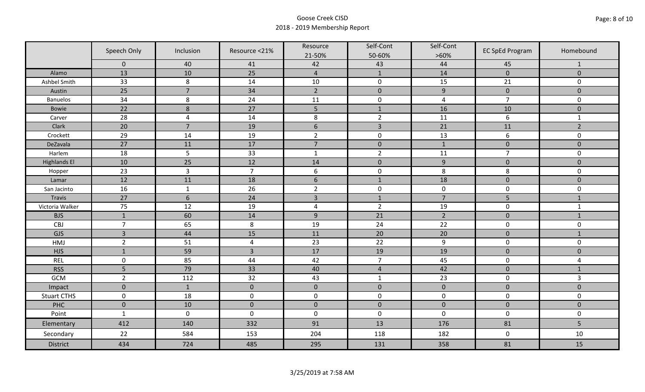|                     | Speech Only    | Inclusion        | Resource <21%  | Resource<br>21-50% | Self-Cont<br>50-60% | Self-Cont<br>$>60\%$ | <b>EC SpEd Program</b> | Homebound      |
|---------------------|----------------|------------------|----------------|--------------------|---------------------|----------------------|------------------------|----------------|
|                     | $\mathbf 0$    | 40               | 41             | 42                 | 43                  | 44                   | 45                     | $\mathbf{1}$   |
| Alamo               | 13             | 10               | 25             | $\overline{4}$     | $\mathbf{1}$        | 14                   | $\mathbf 0$            | $\mathbf{0}$   |
| Ashbel Smith        | 33             | $\,8\,$          | 14             | 10                 | $\pmb{0}$           | 15                   | 21                     | 0              |
| Austin              | 25             | $\overline{7}$   | 34             | $\overline{2}$     | $\mathbf 0$         | $\boldsymbol{9}$     | $\mathbf 0$            | $\overline{0}$ |
| <b>Banuelos</b>     | 34             | 8                | 24             | 11                 | $\pmb{0}$           | $\overline{a}$       | $\overline{7}$         | $\mathbf 0$    |
| Bowie               | 22             | $\boldsymbol{8}$ | 27             | 5                  | $\mathbf{1}$        | 16                   | 10                     | $\mathbf 0$    |
| Carver              | 28             | $\overline{4}$   | 14             | $\,8\,$            | $\overline{2}$      | 11                   | $\boldsymbol{6}$       | $\mathbf{1}$   |
| Clark               | 20             | $\overline{7}$   | 19             | $6\phantom{1}$     | $\overline{3}$      | 21                   | 11                     | $\overline{2}$ |
| Crockett            | 29             | 14               | 19             | $\overline{2}$     | $\pmb{0}$           | 13                   | 6                      | 0              |
| DeZavala            | 27             | 11               | 17             | $\overline{7}$     | $\pmb{0}$           | $1\,$                | $\pmb{0}$              | $\mathbf 0$    |
| Harlem              | 18             | 5                | 33             | $\mathbf{1}$       | $\overline{2}$      | 11                   | $\overline{7}$         | 0              |
| <b>Highlands El</b> | 10             | 25               | 12             | 14                 | $\pmb{0}$           | $\boldsymbol{9}$     | $\pmb{0}$              | $\mathbf 0$    |
| Hopper              | 23             | $\overline{3}$   | $\overline{7}$ | $\boldsymbol{6}$   | $\pmb{0}$           | $\,8\,$              | 8                      | 0              |
| Lamar               | 12             | 11               | 18             | $6\phantom{1}$     | $\mathbf{1}$        | 18                   | $\mathbf 0$            | $\overline{0}$ |
| San Jacinto         | 16             | $\mathbf{1}$     | 26             | $\overline{2}$     | $\pmb{0}$           | $\pmb{0}$            | $\pmb{0}$              | 0              |
| Travis              | 27             | $6\,$            | 24             | $\overline{3}$     | $\mathbf{1}$        | $\overline{7}$       | 5                      | $1\,$          |
| Victoria Walker     | 75             | 12               | 19             | $\pmb{4}$          | $\overline{2}$      | 19                   | $\pmb{0}$              | $\mathbf{1}$   |
| <b>BJS</b>          | $1\,$          | 60               | 14             | $9$                | 21                  | $\overline{2}$       | $\pmb{0}$              | $\mathbf{1}$   |
| CBJ                 | $\overline{7}$ | 65               | 8              | 19                 | 24                  | 22                   | $\pmb{0}$              | 0              |
| GJS                 | $\overline{3}$ | 44               | 15             | 11                 | 20                  | 20                   | $\pmb{0}$              | $\mathbf{1}$   |
| HMJ                 | $\overline{2}$ | 51               | $\overline{4}$ | 23                 | 22                  | 9                    | $\mathbf 0$            | 0              |
| <b>HJS</b>          | $\mathbf{1}$   | 59               | $\overline{3}$ | 17                 | 19                  | 19                   | $\mathbf 0$            | $\overline{0}$ |
| <b>REL</b>          | $\mathsf 0$    | 85               | 44             | 42                 | $\overline{7}$      | 45                   | $\pmb{0}$              | 4              |
| <b>RSS</b>          | 5              | 79               | 33             | 40                 | $\sqrt{4}$          | 42                   | $\mathbf 0$            | $\mathbf{1}$   |
| GCM                 | $\overline{2}$ | 112              | 32             | 43                 | $\mathbf{1}$        | 23                   | $\pmb{0}$              | $\overline{3}$ |
| Impact              | $\mathbf{0}$   | $\mathbf{1}$     | $\mathbf 0$    | $\mathbf 0$        | $\pmb{0}$           | $\pmb{0}$            | $\pmb{0}$              | $\mathbf 0$    |
| <b>Stuart CTHS</b>  | $\mathsf 0$    | 18               | $\pmb{0}$      | $\pmb{0}$          | $\pmb{0}$           | $\pmb{0}$            | $\pmb{0}$              | 0              |
| PHC                 | $\mathbf 0$    | 10               | $\mathbf 0$    | $\mathbf 0$        | $\mathbf 0$         | $\mathbf 0$          | $\mathbf 0$            | $\mathbf 0$    |
| Point               | $\mathbf{1}$   | $\pmb{0}$        | $\pmb{0}$      | $\pmb{0}$          | $\pmb{0}$           | $\mathbf 0$          | $\pmb{0}$              | 0              |
| Elementary          | 412            | 140              | 332            | 91                 | 13                  | 176                  | 81                     | 5              |
| Secondary           | 22             | 584              | 153            | 204                | 118                 | 182                  | $\pmb{0}$              | 10             |
| <b>District</b>     | 434            | 724              | 485            | 295                | 131                 | 358                  | 81                     | 15             |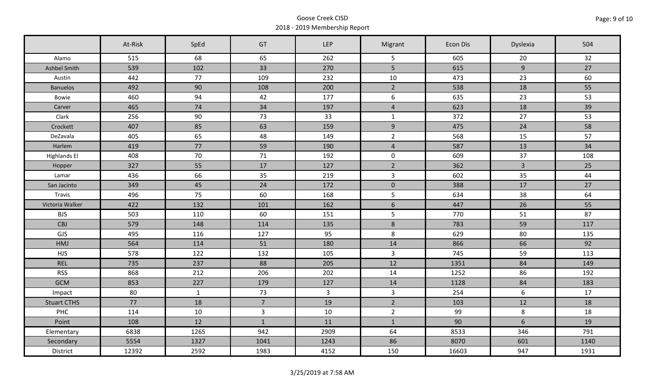|                     | At-Risk | SpEd         | GT             | <b>LEP</b>     | Migrant             | Econ Dis | Dyslexia     | 504  |
|---------------------|---------|--------------|----------------|----------------|---------------------|----------|--------------|------|
| Alamo               | 515     | 68           | 65             | 262            | 5                   | 605      | 20           | 32   |
| Ashbel Smith        | 539     | 102          | 33             | 270            | 5                   | 615      | 9            | 27   |
| Austin              | 442     | 77           | 109            | 232            | 10                  | 473      | 23           | 60   |
| <b>Banuelos</b>     | 492     | 90           | 108            | 200            | $\overline{2}$      | 538      | 18           | 55   |
| Bowie               | 460     | 94           | 42             | 177            | 6                   | 635      | 23           | 53   |
| Carver              | 465     | 74           | 34             | 197            | $\overline{4}$      | 623      | 18           | 39   |
| Clark               | 256     | 90           | 73             | 33             | $\mathbf{1}$        | 372      | 27           | 53   |
| Crockett            | 407     | 85           | 63             | 159            | 9                   | 475      | 24           | 58   |
| DeZavala            | 405     | 65           | 48             | 149            | $\overline{2}$      | 568      | 15           | 57   |
| Harlem              | 419     | 77           | 59             | 190            | $\overline{4}$      | 587      | 13           | 34   |
| <b>Highlands El</b> | 408     | 70           | 71             | 192            | $\mathsf{O}\xspace$ | 609      | 37           | 108  |
| Hopper              | 327     | 55           | 17             | 127            | $\overline{2}$      | 362      | $\mathbf{3}$ | 25   |
| Lamar               | 436     | 66           | 35             | 219            | $\overline{3}$      | 602      | 35           | 44   |
| San Jacinto         | 349     | 45           | 24             | 172            | $\mathbf 0$         | 388      | 17           | 27   |
| Travis              | 496     | 75           | 60             | 168            | $5\phantom{.}$      | 634      | 38           | 64   |
| Victoria Walker     | 422     | 132          | 101            | 162            | 6                   | 447      | 26           | 55   |
| <b>BJS</b>          | 503     | 110          | 60             | 151            | $5\phantom{.}$      | 770      | 51           | 87   |
| <b>CBJ</b>          | 579     | 148          | 114            | 135            | $8\phantom{1}$      | 783      | 59           | 117  |
| GJS                 | 495     | 116          | 127            | 95             | 8                   | 629      | 80           | 135  |
| HMJ                 | 564     | 114          | 51             | 180            | 14                  | 866      | 66           | 92   |
| <b>HJS</b>          | 578     | 122          | 132            | 105            | $\overline{3}$      | 745      | 59           | 113  |
| <b>REL</b>          | 735     | 237          | 88             | 205            | 12                  | 1351     | 84           | 149  |
| <b>RSS</b>          | 868     | 212          | 206            | 202            | 14                  | 1252     | 86           | 192  |
| <b>GCM</b>          | 853     | 227          | 179            | 127            | 14                  | 1128     | 84           | 183  |
| Impact              | 80      | $\mathbf{1}$ | 73             | $\overline{3}$ | $\overline{3}$      | 254      | 6            | 17   |
| <b>Stuart CTHS</b>  | 77      | 18           | $\overline{7}$ | 19             | $\overline{2}$      | 103      | 12           | 18   |
| PHC                 | 114     | 10           | $\mathbf{3}$   | 10             | $\overline{2}$      | 99       | 8            | 18   |
| Point               | 108     | 12           | $\mathbf{1}$   | 11             | $\mathbf{1}$        | 90       | 6            | 19   |
| Elementary          | 6838    | 1265         | 942            | 2909           | 64                  | 8533     | 346          | 791  |
| Secondary           | 5554    | 1327         | 1041           | 1243           | 86                  | 8070     | 601          | 1140 |
| District            | 12392   | 2592         | 1983           | 4152           | 150                 | 16603    | 947          | 1931 |